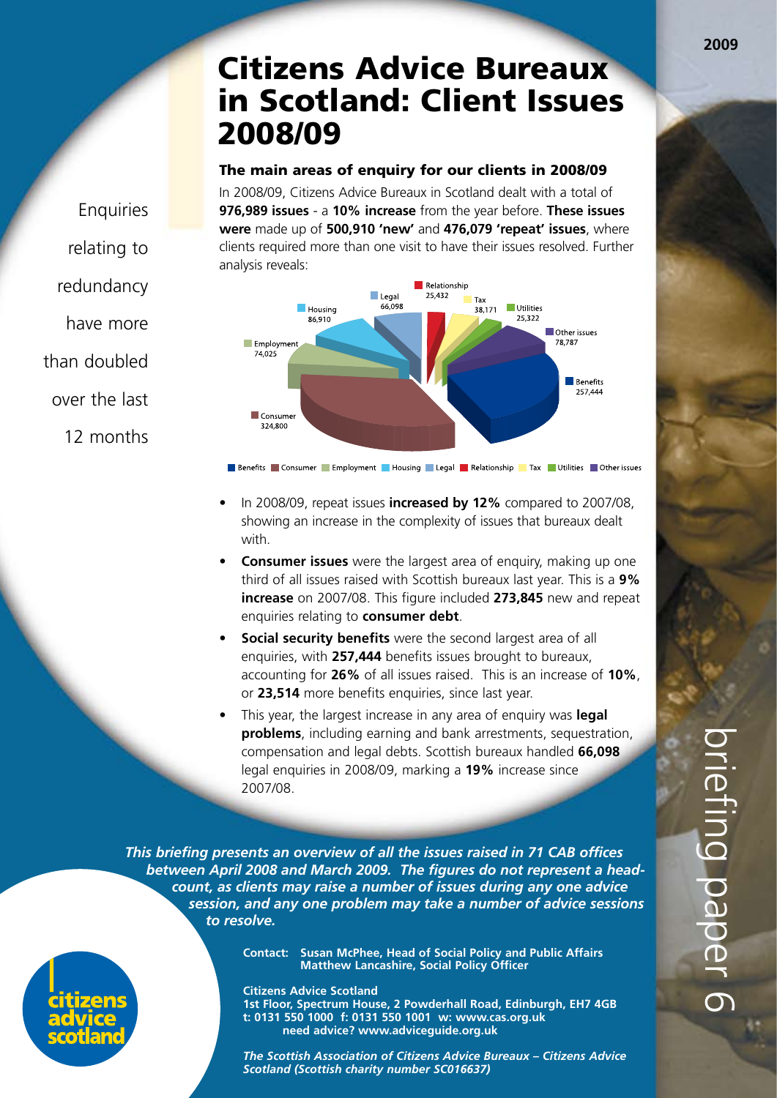# Citizens Advice Bureaux in Scotland: Client Issues 2008/09

#### The main areas of enquiry for our clients in 2008/09

In 2008/09, Citizens Advice Bureaux in Scotland dealt with a total of **976,989 issues** - a **10% increase** from the year before. **These issues were** made up of **500,910 'new'** and **476,079 'repeat' issues**, where clients required more than one visit to have their issues resolved. Further analysis reveals:



**Benefits** Consumer Employment Housing Legal Relationship Tax Utilities Other issues

- In 2008/09, repeat issues **increased by 12%** compared to 2007/08, showing an increase in the complexity of issues that bureaux dealt with.
- **Consumer issues** were the largest area of enquiry, making up one third of all issues raised with Scottish bureaux last year. This is a **9% increase** on 2007/08. This figure included **273,845** new and repeat enquiries relating to **consumer debt**.
- **Social security benefits** were the second largest area of all enquiries, with **257,444** benefits issues brought to bureaux, accounting for **26%** of all issues raised. This is an increase of **10%**, or **23,514** more benefits enquiries, since last year.
- This year, the largest increase in any area of enquiry was **legal problems**, including earning and bank arrestments, sequestration, compensation and legal debts. Scottish bureaux handled **66,098**  legal enquiries in 2008/09, marking a **19%** increase since 2007/08.

*This briefing presents an overview of all the issues raised in 71 CAB offices between April 2008 and March 2009. The figures do not represent a head count, as clients may raise a number of issues during any one advice session, and any one problem may take a number of advice sessions to resolve.* 

> **Contact: Susan McPhee, Head of Social Policy and Public Affairs Matthew Lancashire, Social Policy Officer**

**Citizens Advice Scotland 1st Floor, Spectrum House, 2 Powderhall Road, Edinburgh, EH7 4GB t: 0131 550 1000 f: 0131 550 1001 w: www.cas.org.uk need advice? www.adviceguide.org.uk**

*The Scottish Association of Citizens Advice Bureaux – Citizens Advice Scotland (Scottish charity number SC016637)*

**Enquiries** relating to redundancy have more than doubled over the last 12 months